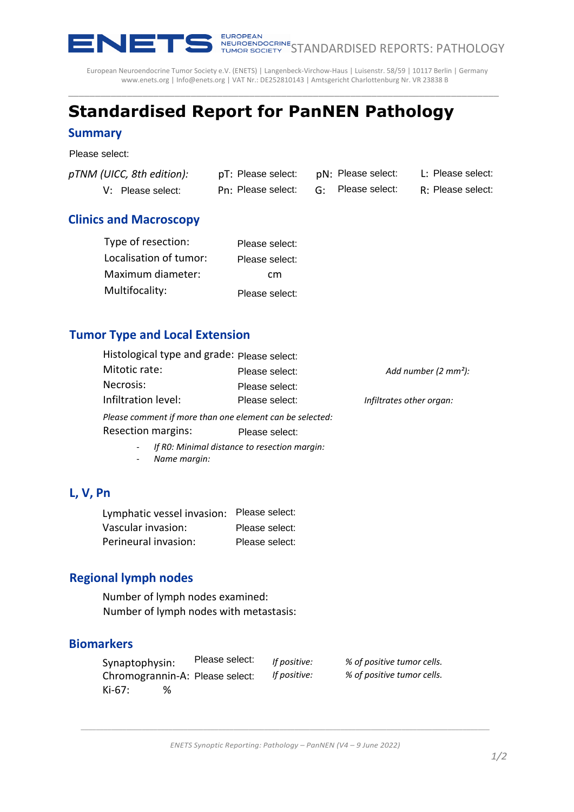

NEUROFEAN<br>TUMOR SOCIETY STANDARDISED REPORTS: PATHOLOGY

European Neuroendocrine Tumor Society e.V. (ENETS) | Langenbeck-Virchow-Haus | Luisenstr. 58/59 | 10117 Berlin | Germany [www.enets.org](http://www.enets.org/) [| Info@enets.org](mailto:Info@enets.org) | VAT Nr.: DE252810143 | Amtsgericht Charlottenburg Nr. VR 23838 B \_\_\_\_\_\_\_\_\_\_\_\_\_\_\_\_\_\_\_\_\_\_\_\_\_\_\_\_\_\_\_\_\_\_\_\_\_\_\_\_\_\_\_\_\_\_\_\_\_\_\_\_\_\_\_\_\_\_\_\_\_\_\_\_\_\_\_\_\_\_\_\_\_\_\_\_\_\_\_\_\_

# **Standardised Report for PanNEN Pathology**

#### **Summary**

Please select:

| pTNM (UICC, 8th edition): | pT: Please select:                   | pN: Please select: | L: Please select: |
|---------------------------|--------------------------------------|--------------------|-------------------|
| V: Please select:         | Pn: Please select: G: Please select: |                    | R: Please select: |

### **Clinics and Macroscopy**

| Type of resection:     | Please select: |
|------------------------|----------------|
| Localisation of tumor: | Please select: |
| Maximum diameter:      | cm             |
| Multifocality:         | Please select: |

#### **Tumor Type and Local Extension**

| UICC, 8th edition):                                                       |                                              | pT: Please select: pN: Please select: |    |                          |                            |  | L: Please select:               |
|---------------------------------------------------------------------------|----------------------------------------------|---------------------------------------|----|--------------------------|----------------------------|--|---------------------------------|
| V: Please select:                                                         |                                              | Pn: Please select:                    | G: |                          | Please select:             |  | R: Please select:               |
| and Macroscopy                                                            |                                              |                                       |    |                          |                            |  |                                 |
| Type of resection:                                                        |                                              | Please select:                        |    |                          |                            |  |                                 |
| Localisation of tumor:                                                    |                                              | Please select:                        |    |                          |                            |  |                                 |
| Maximum diameter:                                                         |                                              | cm                                    |    |                          |                            |  |                                 |
| Multifocality:                                                            |                                              | Please select:                        |    |                          |                            |  |                                 |
| r Type and Local Extension                                                |                                              |                                       |    |                          |                            |  |                                 |
| Histological type and grade: Please select:                               |                                              |                                       |    |                          |                            |  |                                 |
| Mitotic rate:                                                             |                                              | Please select:                        |    |                          |                            |  | Add number $(2 \text{ mm}^2)$ : |
| Necrosis:                                                                 |                                              | Please select:                        |    |                          |                            |  |                                 |
| Infiltration level:                                                       |                                              | Please select:                        |    | Infiltrates other organ: |                            |  |                                 |
| Please comment if more than one element can be selected:                  |                                              |                                       |    |                          |                            |  |                                 |
| <b>Resection margins:</b>                                                 |                                              | Please select:                        |    |                          |                            |  |                                 |
| Name margin:                                                              | If RO: Minimal distance to resection margin: |                                       |    |                          |                            |  |                                 |
| n                                                                         |                                              |                                       |    |                          |                            |  |                                 |
| Lymphatic vessel invasion: Please select:                                 |                                              |                                       |    |                          |                            |  |                                 |
| Vascular invasion:                                                        |                                              | Please select:                        |    |                          |                            |  |                                 |
| Perineural invasion:                                                      |                                              | Please select:                        |    |                          |                            |  |                                 |
| nal lymph nodes                                                           |                                              |                                       |    |                          |                            |  |                                 |
| Number of lymph nodes examined:<br>Number of lymph nodes with metastasis: |                                              |                                       |    |                          |                            |  |                                 |
| <b>rkers</b>                                                              |                                              |                                       |    |                          |                            |  |                                 |
| Synaptophysin:                                                            | Please select:                               | If positive:                          |    |                          | % of positive tumor cells. |  |                                 |
| Chromogrannin-A: Please select:                                           |                                              | If positive:                          |    |                          | % of positive tumor cells. |  |                                 |

- *If R0: Minimal distance to resection margin:*
- *Name margin:*

### **L, V, Pn**

| Lymphatic vessel invasion: Please select: |                |
|-------------------------------------------|----------------|
| Vascular invasion:                        | Please select: |
| Perineural invasion:                      | Please select: |

#### **Regional lymph nodes**

## **Biomarkers**

| Synaptophysin: | Please select:                  | If positive: | % of positive tumor cells. |
|----------------|---------------------------------|--------------|----------------------------|
|                | Chromogrannin-A: Please select: | If positive: | % of positive tumor cells. |
| $Ki-67:$       |                                 |              |                            |